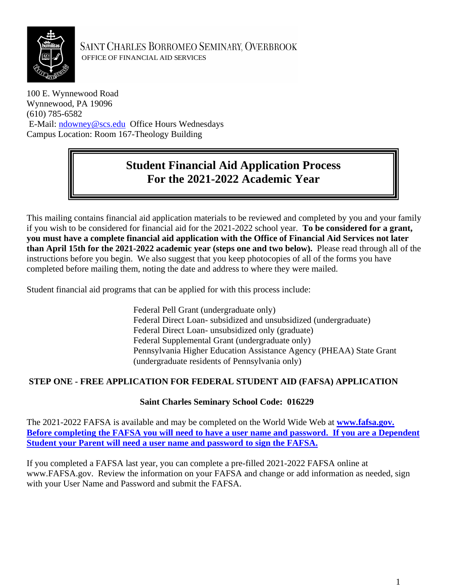

SAINT CHARLES BORROMEO SEMINARY, OVERBROOK OFFICE OF FINANCIAL AID SERVICES

100 E. Wynnewood Road Wynnewood, PA 19096 (610) 785-6582 E-Mail: [ndowney@scs.edu](mailto:ndowney@scs.edu) Office Hours Wednesdays Campus Location: Room 167-Theology Building

# **Student Financial Aid Application Process For the 2021-2022 Academic Year**

This mailing contains financial aid application materials to be reviewed and completed by you and your family if you wish to be considered for financial aid for the 2021-2022 school year. **To be considered for a grant, you must have a complete financial aid application with the Office of Financial Aid Services not later than April 15th for the 2021-2022 academic year (steps one and two below).** Please read through all of the instructions before you begin. We also suggest that you keep photocopies of all of the forms you have completed before mailing them, noting the date and address to where they were mailed.

Student financial aid programs that can be applied for with this process include:

Federal Pell Grant (undergraduate only) Federal Direct Loan- subsidized and unsubsidized (undergraduate) Federal Direct Loan- unsubsidized only (graduate) Federal Supplemental Grant (undergraduate only) Pennsylvania Higher Education Assistance Agency (PHEAA) State Grant (undergraduate residents of Pennsylvania only)

# **STEP ONE - FREE APPLICATION FOR FEDERAL STUDENT AID (FAFSA) APPLICATION**

# **Saint Charles Seminary School Code: 016229**

The 2021-2022 FAFSA is available and may be completed on the World Wide Web at **www.fafsa.gov. Before completing the FAFSA you will need to have a user name and password. If you are a Dependent Student your Parent will need a user name and password to sign the FAFSA.** 

If you completed a FAFSA last year, you can complete a pre-filled 2021-2022 FAFSA online at www.FAFSA.gov. Review the information on your FAFSA and change or add information as needed, sign with your User Name and Password and submit the FAFSA.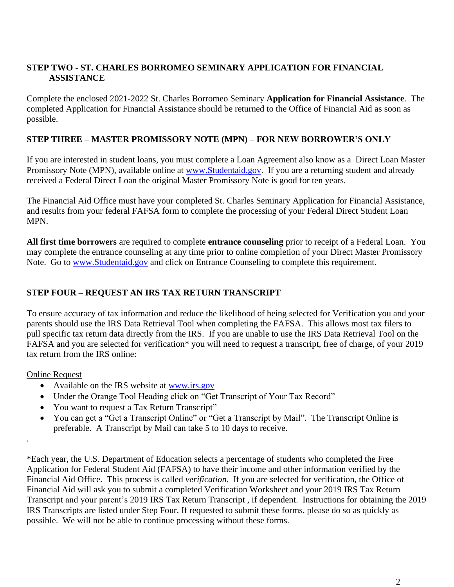# **STEP TWO - ST. CHARLES BORROMEO SEMINARY APPLICATION FOR FINANCIAL ASSISTANCE**

Complete the enclosed 2021-2022 St. Charles Borromeo Seminary **Application for Financial Assistance**. The completed Application for Financial Assistance should be returned to the Office of Financial Aid as soon as possible.

# **STEP THREE – MASTER PROMISSORY NOTE (MPN) – FOR NEW BORROWER'S ONLY**

If you are interested in student loans, you must complete a Loan Agreement also know as a Direct Loan Master Promissory Note (MPN), available online at [www.Studentaid.gov.](http://www.studentaid.gov/) If you are a returning student and already received a Federal Direct Loan the original Master Promissory Note is good for ten years.

The Financial Aid Office must have your completed St. Charles Seminary Application for Financial Assistance, and results from your federal FAFSA form to complete the processing of your Federal Direct Student Loan MPN.

**All first time borrowers** are required to complete **entrance counseling** prior to receipt of a Federal Loan. You may complete the entrance counseling at any time prior to online completion of your Direct Master Promissory Note. Go to [www.Studentaid.gov](http://www.studentaid.gov/) and click on Entrance Counseling to complete this requirement.

# **STEP FOUR – REQUEST AN IRS TAX RETURN TRANSCRIPT**

To ensure accuracy of tax information and reduce the likelihood of being selected for Verification you and your parents should use the IRS Data Retrieval Tool when completing the FAFSA. This allows most tax filers to pull specific tax return data directly from the IRS. If you are unable to use the IRS Data Retrieval Tool on the FAFSA and you are selected for verification\* you will need to request a transcript, free of charge, of your 2019 tax return from the IRS online:

#### Online Request

.

- Available on the IRS website at [www.irs.gov](http://www.irs.gov/)
- Under the Orange Tool Heading click on "Get Transcript of Your Tax Record"
- You want to request a Tax Return Transcript"
- You can get a "Get a Transcript Online" or "Get a Transcript by Mail". The Transcript Online is preferable. A Transcript by Mail can take 5 to 10 days to receive.

\*Each year, the U.S. Department of Education selects a percentage of students who completed the Free Application for Federal Student Aid (FAFSA) to have their income and other information verified by the Financial Aid Office. This process is called *verification*. If you are selected for verification, the Office of Financial Aid will ask you to submit a completed Verification Worksheet and your 2019 IRS Tax Return Transcript and your parent's 2019 IRS Tax Return Transcript , if dependent. Instructions for obtaining the 2019 IRS Transcripts are listed under Step Four. If requested to submit these forms, please do so as quickly as possible. We will not be able to continue processing without these forms.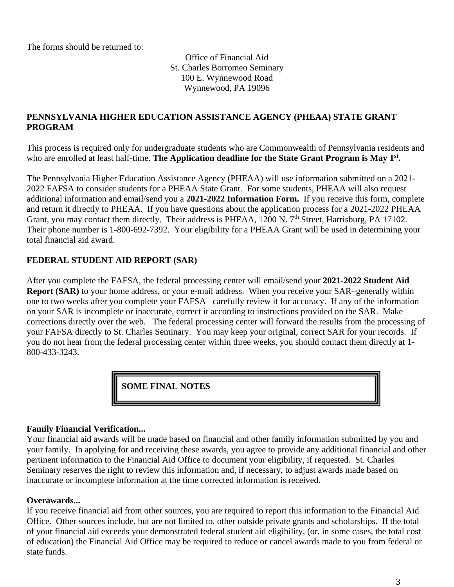The forms should be returned to:

Office of Financial Aid St. Charles Borromeo Seminary 100 E. Wynnewood Road Wynnewood, PA 19096

# **PENNSYLVANIA HIGHER EDUCATION ASSISTANCE AGENCY (PHEAA) STATE GRANT PROGRAM**

This process is required only for undergraduate students who are Commonwealth of Pennsylvania residents and who are enrolled at least half-time. The Application deadline for the State Grant Program is May 1<sup>st</sup>.

The Pennsylvania Higher Education Assistance Agency (PHEAA) will use information submitted on a 2021- 2022 FAFSA to consider students for a PHEAA State Grant. For some students, PHEAA will also request additional information and email/send you a **2021-2022 Information Form.** If you receive this form, complete and return it directly to PHEAA. If you have questions about the application process for a 2021-2022 PHEAA Grant, you may contact them directly. Their address is PHEAA, 1200 N. 7<sup>th</sup> Street, Harrisburg, PA 17102. Their phone number is 1-800-692-7392. Your eligibility for a PHEAA Grant will be used in determining your total financial aid award.

# **FEDERAL STUDENT AID REPORT (SAR)**

After you complete the FAFSA, the federal processing center will email/send your **2021-2022 Student Aid Report (SAR)** to your home address, or your e-mail address. When you receive your SAR–generally within one to two weeks after you complete your FAFSA –carefully review it for accuracy. If any of the information on your SAR is incomplete or inaccurate, correct it according to instructions provided on the SAR. Make corrections directly over the web. The federal processing center will forward the results from the processing of your FAFSA directly to St. Charles Seminary. You may keep your original, correct SAR for your records. If you do not hear from the federal processing center within three weeks, you should contact them directly at 1- 800-433-3243.

**SOME FINAL NOTES**

# **Family Financial Verification...**

Your financial aid awards will be made based on financial and other family information submitted by you and your family. In applying for and receiving these awards, you agree to provide any additional financial and other pertinent information to the Financial Aid Office to document your eligibility, if requested. St. Charles Seminary reserves the right to review this information and, if necessary, to adjust awards made based on inaccurate or incomplete information at the time corrected information is received.

#### **Overawards...**

If you receive financial aid from other sources, you are required to report this information to the Financial Aid Office. Other sources include, but are not limited to, other outside private grants and scholarships. If the total of your financial aid exceeds your demonstrated federal student aid eligibility, (or, in some cases, the total cost of education) the Financial Aid Office may be required to reduce or cancel awards made to you from federal or state funds.